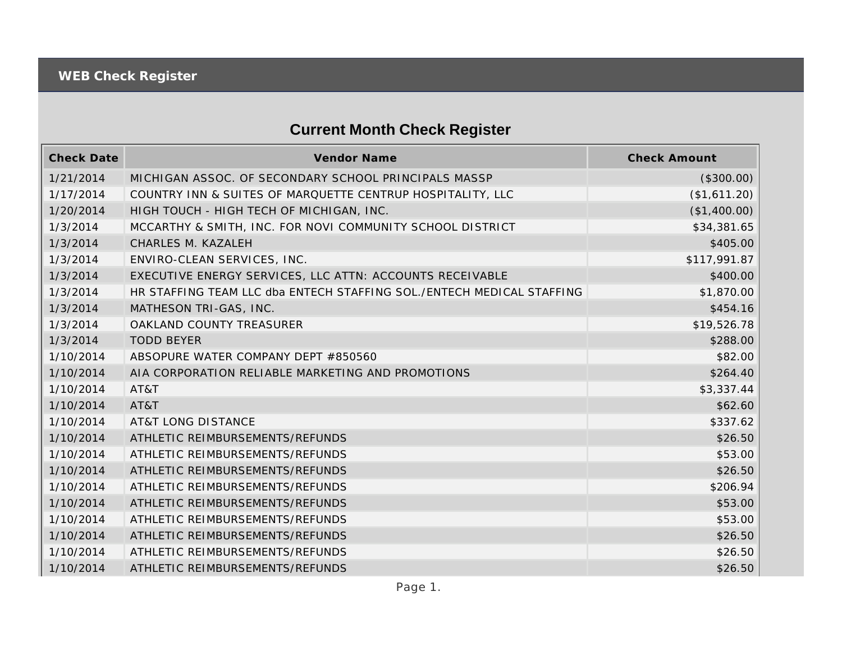## **Current Month Check Register**

| <b>Check Date</b> | Vendor Name                                                           | <b>Check Amount</b> |
|-------------------|-----------------------------------------------------------------------|---------------------|
| 1/21/2014         | MICHIGAN ASSOC. OF SECONDARY SCHOOL PRINCIPALS MASSP                  | (\$300.00)          |
| 1/17/2014         | COUNTRY INN & SUITES OF MARQUETTE CENTRUP HOSPITALITY, LLC            | (\$1,611.20)        |
| 1/20/2014         | HIGH TOUCH - HIGH TECH OF MICHIGAN, INC.                              | (\$1,400.00)        |
| 1/3/2014          | MCCARTHY & SMITH, INC. FOR NOVI COMMUNITY SCHOOL DISTRICT             | \$34,381.65         |
| 1/3/2014          | CHARLES M. KAZALEH                                                    | \$405.00            |
| 1/3/2014          | ENVIRO-CLEAN SERVICES, INC.                                           | \$117,991.87        |
| 1/3/2014          | EXECUTIVE ENERGY SERVICES, LLC ATTN: ACCOUNTS RECEIVABLE              | \$400.00            |
| 1/3/2014          | HR STAFFING TEAM LLC dba ENTECH STAFFING SOL./ENTECH MEDICAL STAFFING | \$1,870.00          |
| 1/3/2014          | MATHESON TRI-GAS, INC.                                                | \$454.16            |
| 1/3/2014          | OAKLAND COUNTY TREASURER                                              | \$19,526.78         |
| 1/3/2014          | <b>TODD BEYER</b>                                                     | \$288.00            |
| 1/10/2014         | ABSOPURE WATER COMPANY DEPT #850560                                   | \$82.00             |
| 1/10/2014         | AIA CORPORATION RELIABLE MARKETING AND PROMOTIONS                     | \$264.40            |
| 1/10/2014         | AT&T                                                                  | \$3,337.44          |
| 1/10/2014         | AT&T                                                                  | \$62.60             |
| 1/10/2014         | <b>AT&amp;T LONG DISTANCE</b>                                         | \$337.62            |
| 1/10/2014         | ATHLETIC REIMBURSEMENTS/REFUNDS                                       | \$26.50             |
| 1/10/2014         | ATHLETIC REIMBURSEMENTS/REFUNDS                                       | \$53.00             |
| 1/10/2014         | ATHLETIC REIMBURSEMENTS/REFUNDS                                       | \$26.50             |
| 1/10/2014         | ATHLETIC REIMBURSEMENTS/REFUNDS                                       | \$206.94            |
| 1/10/2014         | ATHLETIC REIMBURSEMENTS/REFUNDS                                       | \$53.00             |
| 1/10/2014         | ATHLETIC REIMBURSEMENTS/REFUNDS                                       | \$53.00             |
| 1/10/2014         | ATHLETIC REIMBURSEMENTS/REFUNDS                                       | \$26.50             |
| 1/10/2014         | ATHLETIC REIMBURSEMENTS/REFUNDS                                       | \$26.50             |
| 1/10/2014         | ATHLETIC REIMBURSEMENTS/REFUNDS                                       | \$26.50             |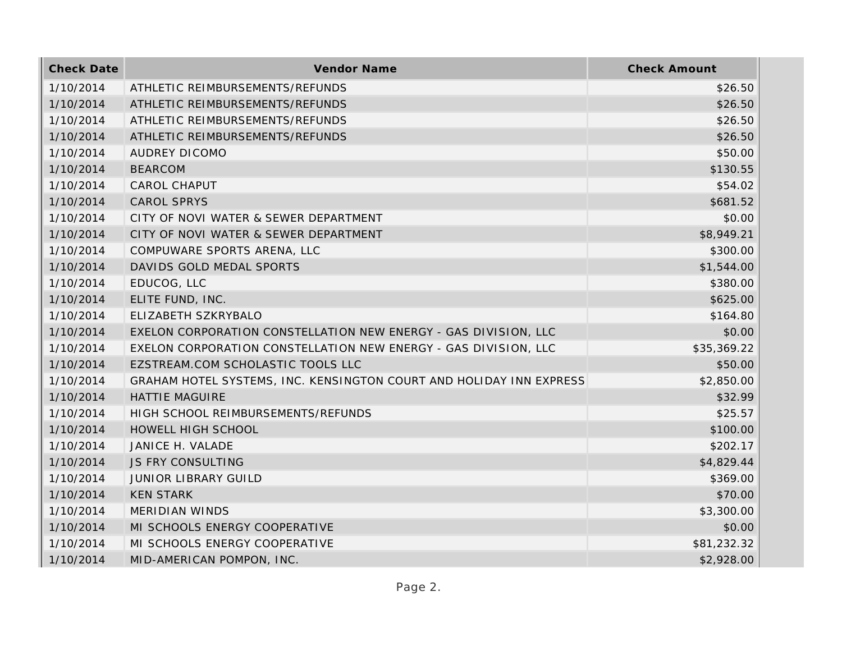| <b>Check Date</b> | <b>Vendor Name</b>                                                  | <b>Check Amount</b> |
|-------------------|---------------------------------------------------------------------|---------------------|
| 1/10/2014         | ATHLETIC REIMBURSEMENTS/REFUNDS                                     | \$26.50             |
| 1/10/2014         | ATHLETIC REIMBURSEMENTS/REFUNDS                                     | \$26.50             |
| 1/10/2014         | ATHLETIC REIMBURSEMENTS/REFUNDS                                     | \$26.50             |
| 1/10/2014         | ATHLETIC REIMBURSEMENTS/REFUNDS                                     | \$26.50             |
| 1/10/2014         | AUDREY DICOMO                                                       | \$50.00             |
| 1/10/2014         | <b>BEARCOM</b>                                                      | \$130.55            |
| 1/10/2014         | <b>CAROL CHAPUT</b>                                                 | \$54.02             |
| 1/10/2014         | <b>CAROL SPRYS</b>                                                  | \$681.52            |
| 1/10/2014         | CITY OF NOVI WATER & SEWER DEPARTMENT                               | \$0.00              |
| 1/10/2014         | CITY OF NOVI WATER & SEWER DEPARTMENT                               | \$8,949.21          |
| 1/10/2014         | COMPUWARE SPORTS ARENA, LLC                                         | \$300.00            |
| 1/10/2014         | DAVIDS GOLD MEDAL SPORTS                                            | \$1,544.00          |
| 1/10/2014         | EDUCOG, LLC                                                         | \$380.00            |
| 1/10/2014         | ELITE FUND, INC.                                                    | \$625.00            |
| 1/10/2014         | ELIZABETH SZKRYBALO                                                 | \$164.80            |
| 1/10/2014         | EXELON CORPORATION CONSTELLATION NEW ENERGY - GAS DIVISION, LLC     | \$0.00              |
| 1/10/2014         | EXELON CORPORATION CONSTELLATION NEW ENERGY - GAS DIVISION, LLC     | \$35,369.22         |
| 1/10/2014         | EZSTREAM.COM SCHOLASTIC TOOLS LLC                                   | \$50.00             |
| 1/10/2014         | GRAHAM HOTEL SYSTEMS, INC. KENSINGTON COURT AND HOLIDAY INN EXPRESS | \$2,850.00          |
| 1/10/2014         | <b>HATTIE MAGUIRE</b>                                               | \$32.99             |
| 1/10/2014         | HIGH SCHOOL REIMBURSEMENTS/REFUNDS                                  | \$25.57             |
| 1/10/2014         | HOWELL HIGH SCHOOL                                                  | \$100.00            |
| 1/10/2014         | JANICE H. VALADE                                                    | \$202.17            |
| 1/10/2014         | <b>JS FRY CONSULTING</b>                                            | \$4,829.44          |
| 1/10/2014         | <b>JUNIOR LIBRARY GUILD</b>                                         | \$369.00            |
| 1/10/2014         | <b>KEN STARK</b>                                                    | \$70.00             |
| 1/10/2014         | <b>MERIDIAN WINDS</b>                                               | \$3,300.00          |
| 1/10/2014         | MI SCHOOLS ENERGY COOPERATIVE                                       | \$0.00              |
| 1/10/2014         | MI SCHOOLS ENERGY COOPERATIVE                                       | \$81,232.32         |
| 1/10/2014         | MID-AMERICAN POMPON, INC.                                           | \$2,928.00          |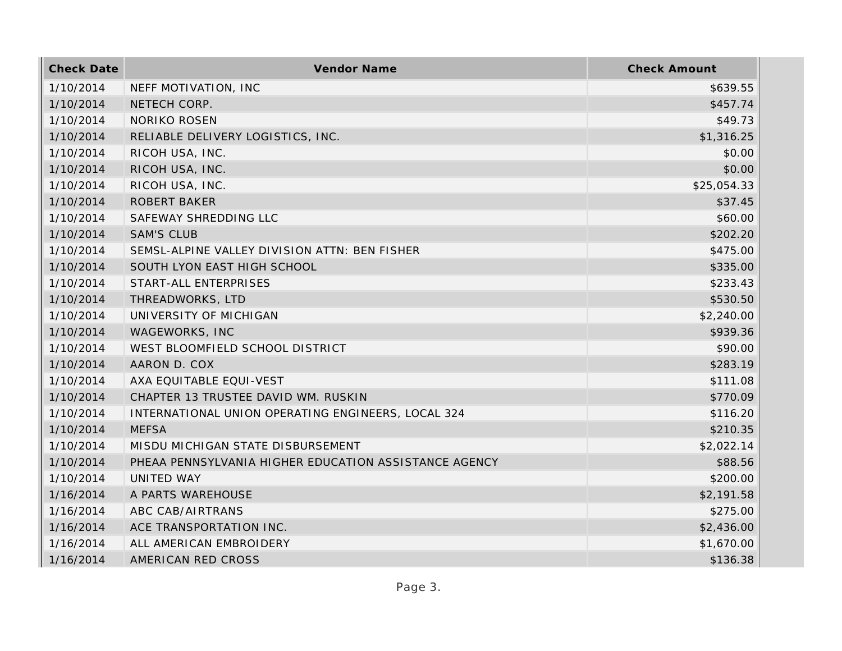| <b>Check Date</b> | Vendor Name                                           | <b>Check Amount</b> |
|-------------------|-------------------------------------------------------|---------------------|
| 1/10/2014         | NEFF MOTIVATION, INC                                  | \$639.55            |
| 1/10/2014         | NETECH CORP.                                          | \$457.74            |
| 1/10/2014         | <b>NORIKO ROSEN</b>                                   | \$49.73             |
| 1/10/2014         | RELIABLE DELIVERY LOGISTICS, INC.                     | \$1,316.25          |
| 1/10/2014         | RICOH USA, INC.                                       | \$0.00              |
| 1/10/2014         | RICOH USA, INC.                                       | \$0.00              |
| 1/10/2014         | RICOH USA, INC.                                       | \$25,054.33         |
| 1/10/2014         | <b>ROBERT BAKER</b>                                   | \$37.45             |
| 1/10/2014         | SAFEWAY SHREDDING LLC                                 | \$60.00             |
| 1/10/2014         | <b>SAM'S CLUB</b>                                     | \$202.20            |
| 1/10/2014         | SEMSL-ALPINE VALLEY DIVISION ATTN: BEN FISHER         | \$475.00            |
| 1/10/2014         | SOUTH LYON EAST HIGH SCHOOL                           | \$335.00            |
| 1/10/2014         | START-ALL ENTERPRISES                                 | \$233.43            |
| 1/10/2014         | THREADWORKS, LTD                                      | \$530.50            |
| 1/10/2014         | UNIVERSITY OF MICHIGAN                                | \$2,240.00          |
| 1/10/2014         | WAGEWORKS, INC                                        | \$939.36            |
| 1/10/2014         | WEST BLOOMFIELD SCHOOL DISTRICT                       | \$90.00             |
| 1/10/2014         | AARON D. COX                                          | \$283.19            |
| 1/10/2014         | AXA EQUITABLE EQUI-VEST                               | \$111.08            |
| 1/10/2014         | CHAPTER 13 TRUSTEE DAVID WM. RUSKIN                   | \$770.09            |
| 1/10/2014         | INTERNATIONAL UNION OPERATING ENGINEERS, LOCAL 324    | \$116.20            |
| 1/10/2014         | <b>MEFSA</b>                                          | \$210.35            |
| 1/10/2014         | MISDU MICHIGAN STATE DISBURSEMENT                     | \$2,022.14          |
| 1/10/2014         | PHEAA PENNSYLVANIA HIGHER EDUCATION ASSISTANCE AGENCY | \$88.56             |
| 1/10/2014         | UNITED WAY                                            | \$200.00            |
| 1/16/2014         | A PARTS WAREHOUSE                                     | \$2,191.58          |
| 1/16/2014         | ABC CAB/AIRTRANS                                      | \$275.00            |
| 1/16/2014         | ACE TRANSPORTATION INC.                               | \$2,436.00          |
| 1/16/2014         | ALL AMERICAN EMBROIDERY                               | \$1,670.00          |
| 1/16/2014         | AMERICAN RED CROSS                                    | \$136.38            |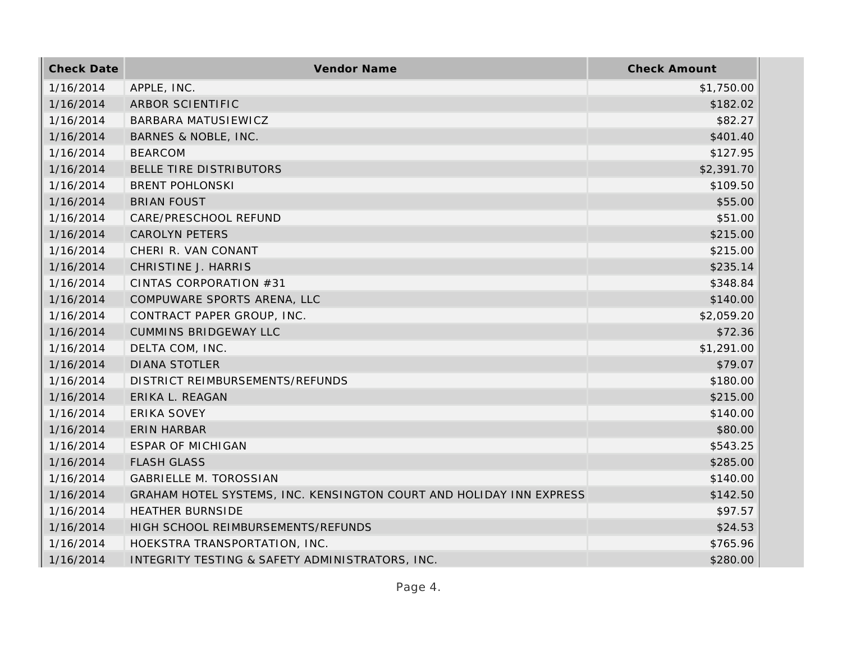| <b>Check Date</b> | Vendor Name                                                         | <b>Check Amount</b> |
|-------------------|---------------------------------------------------------------------|---------------------|
| 1/16/2014         | APPLE, INC.                                                         | \$1,750.00          |
| 1/16/2014         | ARBOR SCIENTIFIC                                                    | \$182.02            |
| 1/16/2014         | <b>BARBARA MATUSIEWICZ</b>                                          | \$82.27             |
| 1/16/2014         | BARNES & NOBLE, INC.                                                | \$401.40            |
| 1/16/2014         | <b>BEARCOM</b>                                                      | \$127.95            |
| 1/16/2014         | BELLE TIRE DISTRIBUTORS                                             | \$2,391.70          |
| 1/16/2014         | <b>BRENT POHLONSKI</b>                                              | \$109.50            |
| 1/16/2014         | <b>BRIAN FOUST</b>                                                  | \$55.00             |
| 1/16/2014         | CARE/PRESCHOOL REFUND                                               | \$51.00             |
| 1/16/2014         | <b>CAROLYN PETERS</b>                                               | \$215.00            |
| 1/16/2014         | CHERI R. VAN CONANT                                                 | \$215.00            |
| 1/16/2014         | CHRISTINE J. HARRIS                                                 | \$235.14            |
| 1/16/2014         | CINTAS CORPORATION #31                                              | \$348.84            |
| 1/16/2014         | COMPUWARE SPORTS ARENA, LLC                                         | \$140.00            |
| 1/16/2014         | CONTRACT PAPER GROUP, INC.                                          | \$2,059.20          |
| 1/16/2014         | <b>CUMMINS BRIDGEWAY LLC</b>                                        | \$72.36             |
| 1/16/2014         | DELTA COM, INC.                                                     | \$1,291.00          |
| 1/16/2014         | <b>DIANA STOTLER</b>                                                | \$79.07             |
| 1/16/2014         | DISTRICT REIMBURSEMENTS/REFUNDS                                     | \$180.00            |
| 1/16/2014         | ERIKA L. REAGAN                                                     | \$215.00            |
| 1/16/2014         | ERIKA SOVEY                                                         | \$140.00            |
| 1/16/2014         | <b>ERIN HARBAR</b>                                                  | \$80.00             |
| 1/16/2014         | <b>ESPAR OF MICHIGAN</b>                                            | \$543.25            |
| 1/16/2014         | <b>FLASH GLASS</b>                                                  | \$285.00            |
| 1/16/2014         | <b>GABRIELLE M. TOROSSIAN</b>                                       | \$140.00            |
| 1/16/2014         | GRAHAM HOTEL SYSTEMS, INC. KENSINGTON COURT AND HOLIDAY INN EXPRESS | \$142.50            |
| 1/16/2014         | <b>HEATHER BURNSIDE</b>                                             | \$97.57             |
| 1/16/2014         | HIGH SCHOOL REIMBURSEMENTS/REFUNDS                                  | \$24.53             |
| 1/16/2014         | HOEKSTRA TRANSPORTATION, INC.                                       | \$765.96            |
| 1/16/2014         | INTEGRITY TESTING & SAFETY ADMINISTRATORS, INC.                     | \$280.00            |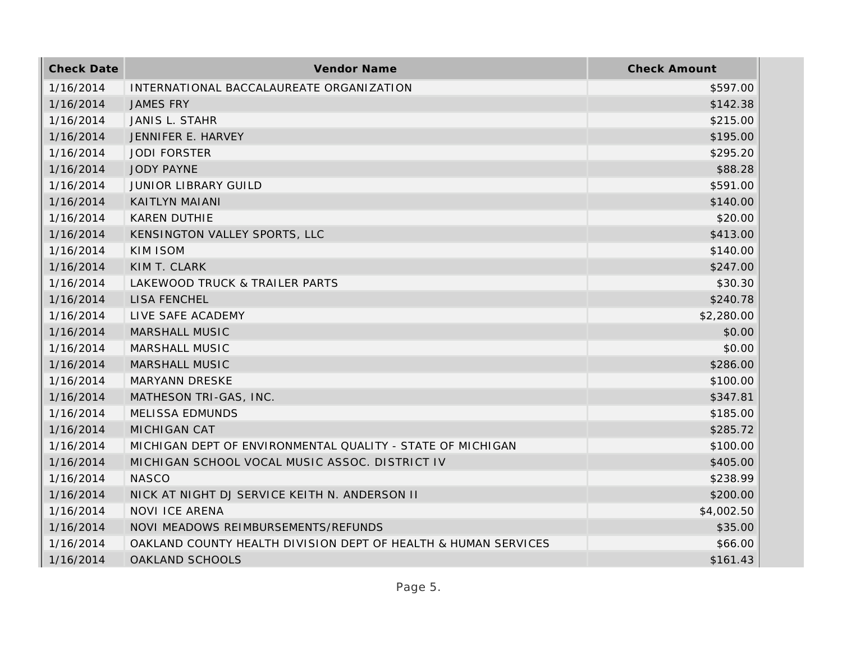| <b>Check Date</b> | <b>Vendor Name</b>                                             | <b>Check Amount</b> |
|-------------------|----------------------------------------------------------------|---------------------|
| 1/16/2014         | INTERNATIONAL BACCALAUREATE ORGANIZATION                       | \$597.00            |
| 1/16/2014         | <b>JAMES FRY</b>                                               | \$142.38            |
| 1/16/2014         | JANIS L. STAHR                                                 | \$215.00            |
| 1/16/2014         | JENNIFER E. HARVEY                                             | \$195.00            |
| 1/16/2014         | <b>JODI FORSTER</b>                                            | \$295.20            |
| 1/16/2014         | <b>JODY PAYNE</b>                                              | \$88.28             |
| 1/16/2014         | <b>JUNIOR LIBRARY GUILD</b>                                    | \$591.00            |
| 1/16/2014         | KAITLYN MAIANI                                                 | \$140.00            |
| 1/16/2014         | <b>KAREN DUTHIE</b>                                            | \$20.00             |
| 1/16/2014         | KENSINGTON VALLEY SPORTS, LLC                                  | \$413.00            |
| 1/16/2014         | KIM ISOM                                                       | \$140.00            |
| 1/16/2014         | KIM T. CLARK                                                   | \$247.00            |
| 1/16/2014         | LAKEWOOD TRUCK & TRAILER PARTS                                 | \$30.30             |
| 1/16/2014         | <b>LISA FENCHEL</b>                                            | \$240.78            |
| 1/16/2014         | LIVE SAFE ACADEMY                                              | \$2,280.00          |
| 1/16/2014         | <b>MARSHALL MUSIC</b>                                          | \$0.00              |
| 1/16/2014         | MARSHALL MUSIC                                                 | \$0.00              |
| 1/16/2014         | <b>MARSHALL MUSIC</b>                                          | \$286.00            |
| 1/16/2014         | MARYANN DRESKE                                                 | \$100.00            |
| 1/16/2014         | MATHESON TRI-GAS, INC.                                         | \$347.81            |
| 1/16/2014         | <b>MELISSA EDMUNDS</b>                                         | \$185.00            |
| 1/16/2014         | <b>MICHIGAN CAT</b>                                            | \$285.72            |
| 1/16/2014         | MICHIGAN DEPT OF ENVIRONMENTAL QUALITY - STATE OF MICHIGAN     | \$100.00            |
| 1/16/2014         | MICHIGAN SCHOOL VOCAL MUSIC ASSOC. DISTRICT IV                 | \$405.00            |
| 1/16/2014         | <b>NASCO</b>                                                   | \$238.99            |
| 1/16/2014         | NICK AT NIGHT DJ SERVICE KEITH N. ANDERSON II                  | \$200.00            |
| 1/16/2014         | <b>NOVI ICE ARENA</b>                                          | \$4,002.50          |
| 1/16/2014         | NOVI MEADOWS REIMBURSEMENTS/REFUNDS                            | \$35.00             |
| 1/16/2014         | OAKLAND COUNTY HEALTH DIVISION DEPT OF HEALTH & HUMAN SERVICES | \$66.00             |
| 1/16/2014         | <b>OAKLAND SCHOOLS</b>                                         | \$161.43            |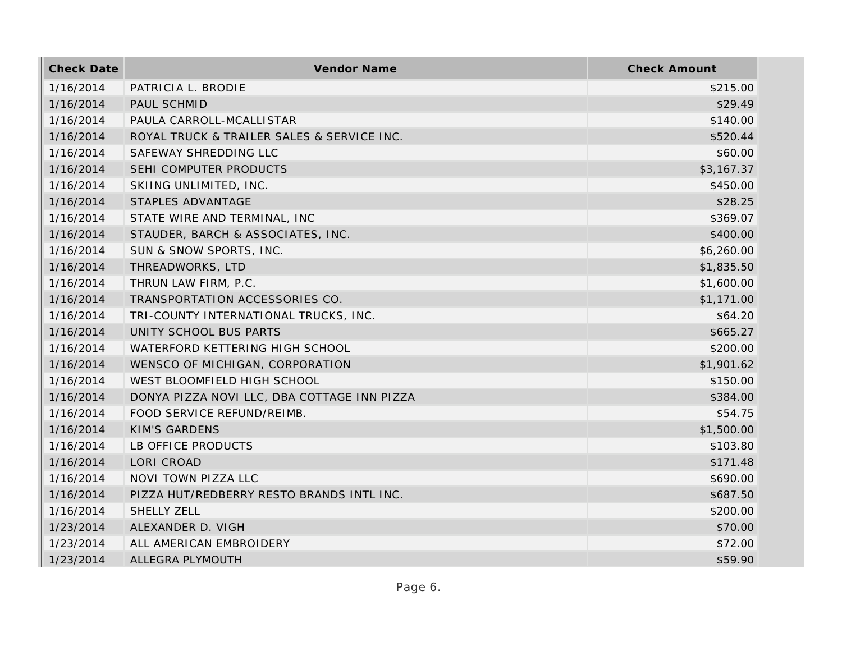| <b>Check Date</b> | <b>Vendor Name</b>                          | <b>Check Amount</b> |
|-------------------|---------------------------------------------|---------------------|
| 1/16/2014         | PATRICIA L. BRODIE                          | \$215.00            |
| 1/16/2014         | PAUL SCHMID                                 | \$29.49             |
| 1/16/2014         | PAULA CARROLL-MCALLISTAR                    | \$140.00            |
| 1/16/2014         | ROYAL TRUCK & TRAILER SALES & SERVICE INC.  | \$520.44            |
| 1/16/2014         | SAFEWAY SHREDDING LLC                       | \$60.00             |
| 1/16/2014         | SEHI COMPUTER PRODUCTS                      | \$3,167.37          |
| 1/16/2014         | SKIING UNLIMITED, INC.                      | \$450.00            |
| 1/16/2014         | STAPLES ADVANTAGE                           | \$28.25             |
| 1/16/2014         | STATE WIRE AND TERMINAL, INC                | \$369.07            |
| 1/16/2014         | STAUDER, BARCH & ASSOCIATES, INC.           | \$400.00            |
| 1/16/2014         | SUN & SNOW SPORTS, INC.                     | \$6,260.00          |
| 1/16/2014         | THREADWORKS, LTD                            | \$1,835.50          |
| 1/16/2014         | THRUN LAW FIRM, P.C.                        | \$1,600.00          |
| 1/16/2014         | TRANSPORTATION ACCESSORIES CO.              | \$1,171.00          |
| 1/16/2014         | TRI-COUNTY INTERNATIONAL TRUCKS, INC.       | \$64.20             |
| 1/16/2014         | UNITY SCHOOL BUS PARTS                      | \$665.27            |
| 1/16/2014         | WATERFORD KETTERING HIGH SCHOOL             | \$200.00            |
| 1/16/2014         | WENSCO OF MICHIGAN, CORPORATION             | \$1,901.62          |
| 1/16/2014         | WEST BLOOMFIELD HIGH SCHOOL                 | \$150.00            |
| 1/16/2014         | DONYA PIZZA NOVI LLC, DBA COTTAGE INN PIZZA | \$384.00            |
| 1/16/2014         | FOOD SERVICE REFUND/REIMB.                  | \$54.75             |
| 1/16/2014         | <b>KIM'S GARDENS</b>                        | \$1,500.00          |
| 1/16/2014         | LB OFFICE PRODUCTS                          | \$103.80            |
| 1/16/2014         | LORI CROAD                                  | \$171.48            |
| 1/16/2014         | NOVI TOWN PIZZA LLC                         | \$690.00            |
| 1/16/2014         | PIZZA HUT/REDBERRY RESTO BRANDS INTL INC.   | \$687.50            |
| 1/16/2014         | <b>SHELLY ZELL</b>                          | \$200.00            |
| 1/23/2014         | ALEXANDER D. VIGH                           | \$70.00             |
| 1/23/2014         | ALL AMERICAN EMBROIDERY                     | \$72.00             |
| 1/23/2014         | ALLEGRA PLYMOUTH                            | \$59.90             |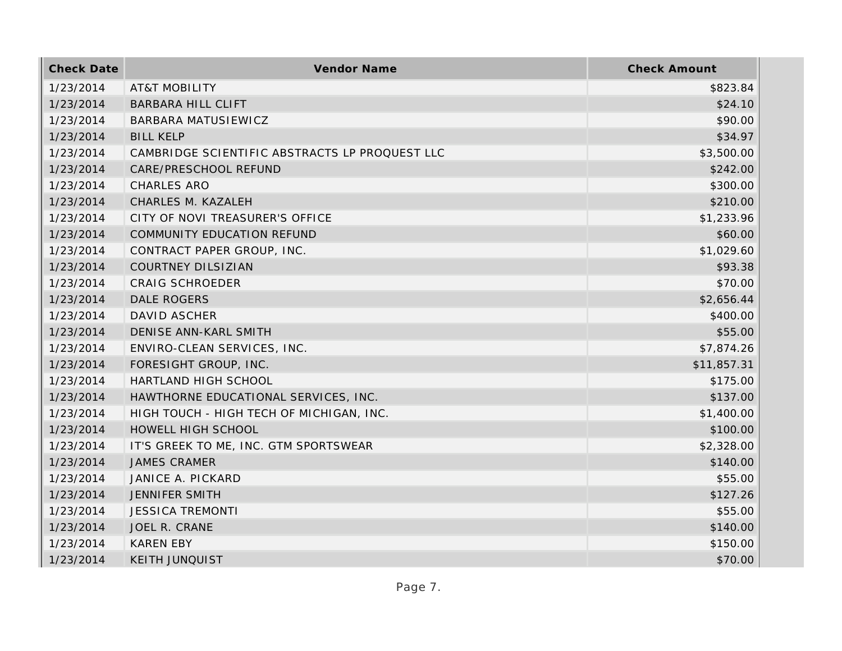| <b>Check Date</b> | Vendor Name                                    | <b>Check Amount</b> |
|-------------------|------------------------------------------------|---------------------|
| 1/23/2014         | <b>AT&amp;T MOBILITY</b>                       | \$823.84            |
| 1/23/2014         | <b>BARBARA HILL CLIFT</b>                      | \$24.10             |
| 1/23/2014         | BARBARA MATUSIEWICZ                            | \$90.00             |
| 1/23/2014         | <b>BILL KELP</b>                               | \$34.97             |
| 1/23/2014         | CAMBRIDGE SCIENTIFIC ABSTRACTS LP PROQUEST LLC | \$3,500.00          |
| 1/23/2014         | CARE/PRESCHOOL REFUND                          | \$242.00            |
| 1/23/2014         | <b>CHARLES ARO</b>                             | \$300.00            |
| 1/23/2014         | CHARLES M. KAZALEH                             | \$210.00            |
| 1/23/2014         | CITY OF NOVI TREASURER'S OFFICE                | \$1,233.96          |
| 1/23/2014         | COMMUNITY EDUCATION REFUND                     | \$60.00             |
| 1/23/2014         | CONTRACT PAPER GROUP, INC.                     | \$1,029.60          |
| 1/23/2014         | <b>COURTNEY DILSIZIAN</b>                      | \$93.38             |
| 1/23/2014         | <b>CRAIG SCHROEDER</b>                         | \$70.00             |
| 1/23/2014         | DALE ROGERS                                    | \$2,656.44          |
| 1/23/2014         | <b>DAVID ASCHER</b>                            | \$400.00            |
| 1/23/2014         | DENISE ANN-KARL SMITH                          | \$55.00             |
| 1/23/2014         | ENVIRO-CLEAN SERVICES, INC.                    | \$7,874.26          |
| 1/23/2014         | FORESIGHT GROUP, INC.                          | \$11,857.31         |
| 1/23/2014         | HARTLAND HIGH SCHOOL                           | \$175.00            |
| 1/23/2014         | HAWTHORNE EDUCATIONAL SERVICES, INC.           | \$137.00            |
| 1/23/2014         | HIGH TOUCH - HIGH TECH OF MICHIGAN, INC.       | \$1,400.00          |
| 1/23/2014         | HOWELL HIGH SCHOOL                             | \$100.00            |
| 1/23/2014         | IT'S GREEK TO ME, INC. GTM SPORTSWEAR          | \$2,328.00          |
| 1/23/2014         | <b>JAMES CRAMER</b>                            | \$140.00            |
| 1/23/2014         | JANICE A. PICKARD                              | \$55.00             |
| 1/23/2014         | <b>JENNIFER SMITH</b>                          | \$127.26            |
| 1/23/2014         | <b>JESSICA TREMONTI</b>                        | \$55.00             |
| 1/23/2014         | JOEL R. CRANE                                  | \$140.00            |
| 1/23/2014         | <b>KAREN EBY</b>                               | \$150.00            |
| 1/23/2014         | <b>KEITH JUNQUIST</b>                          | \$70.00             |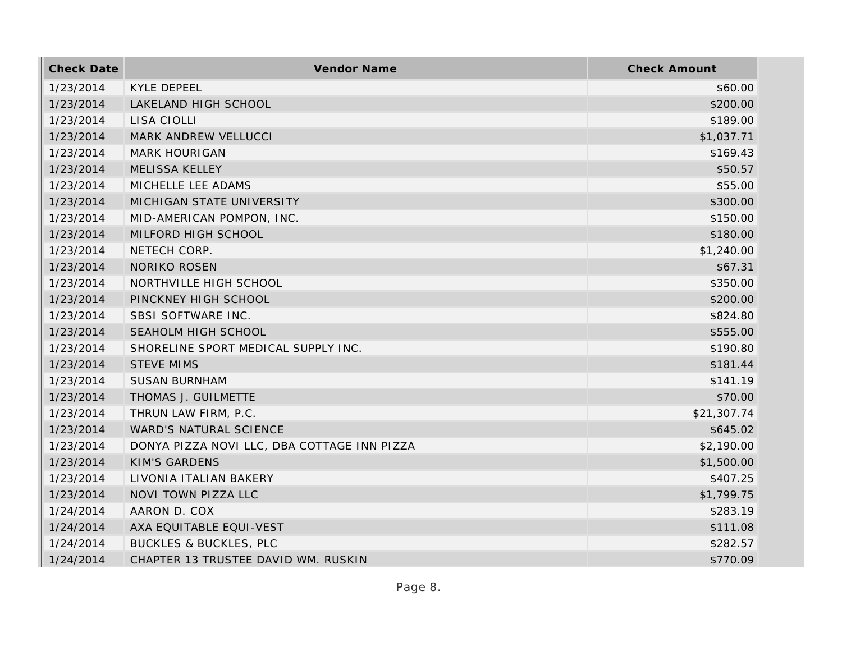| <b>Check Date</b> | <b>Vendor Name</b>                          | <b>Check Amount</b> |
|-------------------|---------------------------------------------|---------------------|
| 1/23/2014         | <b>KYLE DEPEEL</b>                          | \$60.00             |
| 1/23/2014         | LAKELAND HIGH SCHOOL                        | \$200.00            |
| 1/23/2014         | LISA CIOLLI                                 | \$189.00            |
| 1/23/2014         | MARK ANDREW VELLUCCI                        | \$1,037.71          |
| 1/23/2014         | <b>MARK HOURIGAN</b>                        | \$169.43            |
| 1/23/2014         | <b>MELISSA KELLEY</b>                       | \$50.57             |
| 1/23/2014         | MICHELLE LEE ADAMS                          | \$55.00             |
| 1/23/2014         | MICHIGAN STATE UNIVERSITY                   | \$300.00            |
| 1/23/2014         | MID-AMERICAN POMPON, INC.                   | \$150.00            |
| 1/23/2014         | MILFORD HIGH SCHOOL                         | \$180.00            |
| 1/23/2014         | NETECH CORP.                                | \$1,240.00          |
| 1/23/2014         | <b>NORIKO ROSEN</b>                         | \$67.31             |
| 1/23/2014         | NORTHVILLE HIGH SCHOOL                      | \$350.00            |
| 1/23/2014         | PINCKNEY HIGH SCHOOL                        | \$200.00            |
| 1/23/2014         | SBSI SOFTWARE INC.                          | \$824.80            |
| 1/23/2014         | SEAHOLM HIGH SCHOOL                         | \$555.00            |
| 1/23/2014         | SHORELINE SPORT MEDICAL SUPPLY INC.         | \$190.80            |
| 1/23/2014         | <b>STEVE MIMS</b>                           | \$181.44            |
| 1/23/2014         | <b>SUSAN BURNHAM</b>                        | \$141.19            |
| 1/23/2014         | THOMAS J. GUILMETTE                         | \$70.00             |
| 1/23/2014         | THRUN LAW FIRM, P.C.                        | \$21,307.74         |
| 1/23/2014         | WARD'S NATURAL SCIENCE                      | \$645.02            |
| 1/23/2014         | DONYA PIZZA NOVI LLC, DBA COTTAGE INN PIZZA | \$2,190.00          |
| 1/23/2014         | <b>KIM'S GARDENS</b>                        | \$1,500.00          |
| 1/23/2014         | LIVONIA ITALIAN BAKERY                      | \$407.25            |
| 1/23/2014         | NOVI TOWN PIZZA LLC                         | \$1,799.75          |
| 1/24/2014         | AARON D. COX                                | \$283.19            |
| 1/24/2014         | AXA EQUITABLE EQUI-VEST                     | \$111.08            |
| 1/24/2014         | <b>BUCKLES &amp; BUCKLES, PLC</b>           | \$282.57            |
| 1/24/2014         | CHAPTER 13 TRUSTEE DAVID WM. RUSKIN         | \$770.09            |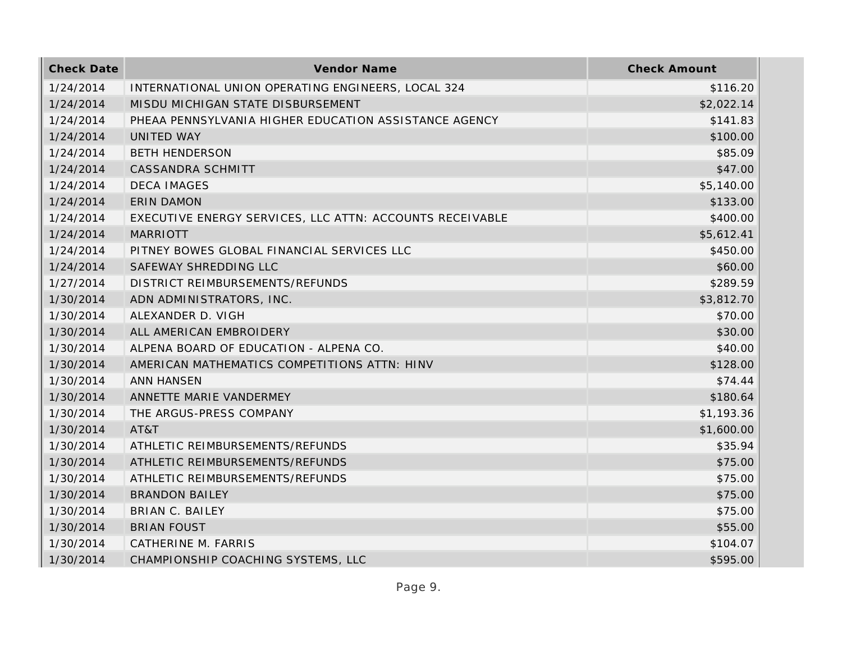| <b>Check Date</b> | Vendor Name                                              | <b>Check Amount</b> |
|-------------------|----------------------------------------------------------|---------------------|
| 1/24/2014         | INTERNATIONAL UNION OPERATING ENGINEERS, LOCAL 324       | \$116.20            |
| 1/24/2014         | MISDU MICHIGAN STATE DISBURSEMENT                        | \$2,022.14          |
| 1/24/2014         | PHEAA PENNSYLVANIA HIGHER EDUCATION ASSISTANCE AGENCY    | \$141.83            |
| 1/24/2014         | UNITED WAY                                               | \$100.00            |
| 1/24/2014         | <b>BETH HENDERSON</b>                                    | \$85.09             |
| 1/24/2014         | CASSANDRA SCHMITT                                        | \$47.00             |
| 1/24/2014         | <b>DECA IMAGES</b>                                       | \$5,140.00          |
| 1/24/2014         | <b>ERIN DAMON</b>                                        | \$133.00            |
| 1/24/2014         | EXECUTIVE ENERGY SERVICES, LLC ATTN: ACCOUNTS RECEIVABLE | \$400.00            |
| 1/24/2014         | <b>MARRIOTT</b>                                          | \$5,612.41          |
| 1/24/2014         | PITNEY BOWES GLOBAL FINANCIAL SERVICES LLC               | \$450.00            |
| 1/24/2014         | SAFEWAY SHREDDING LLC                                    | \$60.00             |
| 1/27/2014         | DISTRICT REIMBURSEMENTS/REFUNDS                          | \$289.59            |
| 1/30/2014         | ADN ADMINISTRATORS, INC.                                 | \$3,812.70          |
| 1/30/2014         | ALEXANDER D. VIGH                                        | \$70.00             |
| 1/30/2014         | ALL AMERICAN EMBROIDERY                                  | \$30.00             |
| 1/30/2014         | ALPENA BOARD OF EDUCATION - ALPENA CO.                   | \$40.00             |
| 1/30/2014         | AMERICAN MATHEMATICS COMPETITIONS ATTN: HINV             | \$128.00            |
| 1/30/2014         | <b>ANN HANSEN</b>                                        | \$74.44             |
| 1/30/2014         | ANNETTE MARIE VANDERMEY                                  | \$180.64            |
| 1/30/2014         | THE ARGUS-PRESS COMPANY                                  | \$1,193.36          |
| 1/30/2014         | AT&T                                                     | \$1,600.00          |
| 1/30/2014         | ATHLETIC REIMBURSEMENTS/REFUNDS                          | \$35.94             |
| 1/30/2014         | ATHLETIC REIMBURSEMENTS/REFUNDS                          | \$75.00             |
| 1/30/2014         | ATHLETIC REIMBURSEMENTS/REFUNDS                          | \$75.00             |
| 1/30/2014         | <b>BRANDON BAILEY</b>                                    | \$75.00             |
| 1/30/2014         | <b>BRIAN C. BAILEY</b>                                   | \$75.00             |
| 1/30/2014         | <b>BRIAN FOUST</b>                                       | \$55.00             |
| 1/30/2014         | CATHERINE M. FARRIS                                      | \$104.07            |
| 1/30/2014         | CHAMPIONSHIP COACHING SYSTEMS, LLC                       | \$595.00            |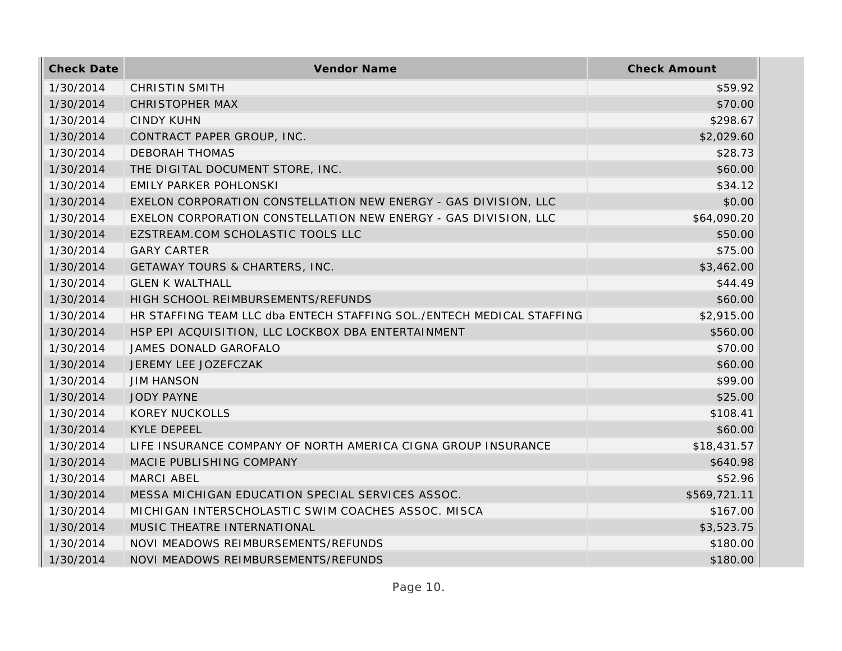| <b>Check Date</b> | Vendor Name                                                           | <b>Check Amount</b> |
|-------------------|-----------------------------------------------------------------------|---------------------|
| 1/30/2014         | <b>CHRISTIN SMITH</b>                                                 | \$59.92             |
| 1/30/2014         | <b>CHRISTOPHER MAX</b>                                                | \$70.00             |
| 1/30/2014         | <b>CINDY KUHN</b>                                                     | \$298.67            |
| 1/30/2014         | CONTRACT PAPER GROUP, INC.                                            | \$2,029.60          |
| 1/30/2014         | <b>DEBORAH THOMAS</b>                                                 | \$28.73             |
| 1/30/2014         | THE DIGITAL DOCUMENT STORE, INC.                                      | \$60.00             |
| 1/30/2014         | <b>EMILY PARKER POHLONSKI</b>                                         | \$34.12             |
| 1/30/2014         | EXELON CORPORATION CONSTELLATION NEW ENERGY - GAS DIVISION, LLC       | \$0.00              |
| 1/30/2014         | EXELON CORPORATION CONSTELLATION NEW ENERGY - GAS DIVISION, LLC       | \$64,090.20         |
| 1/30/2014         | EZSTREAM.COM SCHOLASTIC TOOLS LLC                                     | \$50.00             |
| 1/30/2014         | <b>GARY CARTER</b>                                                    | \$75.00             |
| 1/30/2014         | GETAWAY TOURS & CHARTERS, INC.                                        | \$3,462.00          |
| 1/30/2014         | <b>GLEN K WALTHALL</b>                                                | \$44.49             |
| 1/30/2014         | HIGH SCHOOL REIMBURSEMENTS/REFUNDS                                    | \$60.00             |
| 1/30/2014         | HR STAFFING TEAM LLC dba ENTECH STAFFING SOL./ENTECH MEDICAL STAFFING | \$2,915.00          |
| 1/30/2014         | HSP EPI ACQUISITION, LLC LOCKBOX DBA ENTERTAINMENT                    | \$560.00            |
| 1/30/2014         | JAMES DONALD GAROFALO                                                 | \$70.00             |
| 1/30/2014         | JEREMY LEE JOZEFCZAK                                                  | \$60.00             |
| 1/30/2014         | <b>JIM HANSON</b>                                                     | \$99.00             |
| 1/30/2014         | <b>JODY PAYNE</b>                                                     | \$25.00             |
| 1/30/2014         | <b>KOREY NUCKOLLS</b>                                                 | \$108.41            |
| 1/30/2014         | <b>KYLE DEPEEL</b>                                                    | \$60.00             |
| 1/30/2014         | LIFE INSURANCE COMPANY OF NORTH AMERICA CIGNA GROUP INSURANCE         | \$18,431.57         |
| 1/30/2014         | MACIE PUBLISHING COMPANY                                              | \$640.98            |
| 1/30/2014         | MARCI ABEL                                                            | \$52.96             |
| 1/30/2014         | MESSA MICHIGAN EDUCATION SPECIAL SERVICES ASSOC.                      | \$569,721.11        |
| 1/30/2014         | MICHIGAN INTERSCHOLASTIC SWIM COACHES ASSOC. MISCA                    | \$167.00            |
| 1/30/2014         | MUSIC THEATRE INTERNATIONAL                                           | \$3,523.75          |
| 1/30/2014         | NOVI MEADOWS REIMBURSEMENTS/REFUNDS                                   | \$180.00            |
| 1/30/2014         | NOVI MEADOWS REIMBURSEMENTS/REFUNDS                                   | \$180.00            |